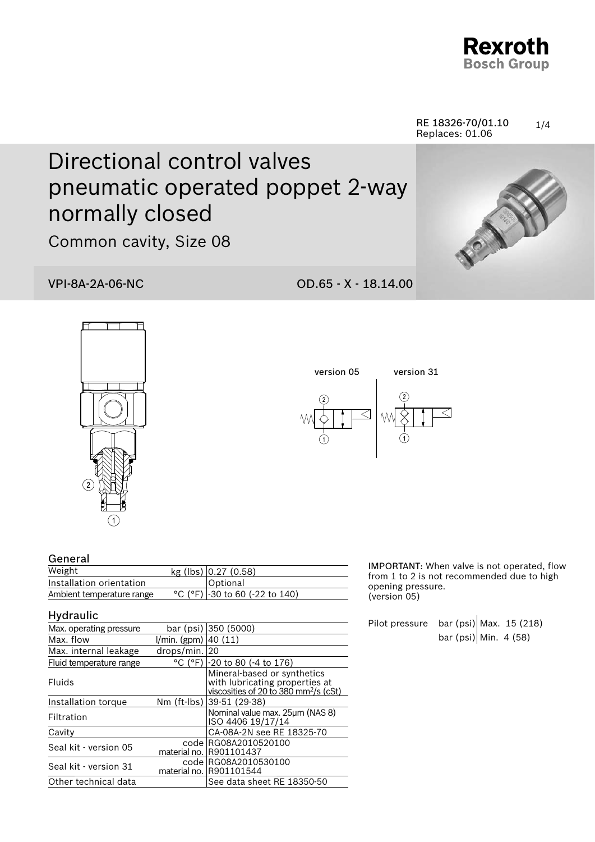

#### 1/4 RE 18326-70/01.10 Replaces: 01.06

# Directional control valves pneumatic operated poppet 2-way normally closed

Common cavity, Size 08

### VPI-8A-2A-06-NC OD.65 - X - 18.14.00







| General |
|---------|
|---------|

| - 991191                  |                                  |  |
|---------------------------|----------------------------------|--|
| Weight                    | kg (lbs) $0.27$ (0.58)           |  |
| Installation orientation  | Optional                         |  |
| Ambient temperature range | °C (°F) $-30$ to 60 (-22 to 140) |  |

#### Hydraulic

| Max. operating pressure |                           | bar (psi) 350 (5000)                                                                                               |
|-------------------------|---------------------------|--------------------------------------------------------------------------------------------------------------------|
| Max. flow               | $1/min.$ (gpm) $ 40(11) $ |                                                                                                                    |
| Max. internal leakage   | drops/min.                | 20                                                                                                                 |
| Fluid temperature range |                           | °C (°F) -20 to 80 (-4 to 176)                                                                                      |
| Fluids                  |                           | Mineral-based or synthetics<br>with lubricating properties at<br>viscosities of 20 to 380 mm <sup>2</sup> /s (cSt) |
| Installation torque     |                           | Nm (ft-lbs) 39-51 (29-38)                                                                                          |
| Filtration              |                           | Nominal value max. 25µm (NAS 8)<br>ISO 4406 19/17/14                                                               |
| Cavity                  |                           | CA-08A-2N see RE 18325-70                                                                                          |
| Seal kit - version 05   | code l<br>material no.    | RG08A2010520100<br>R901101437                                                                                      |
| Seal kit - version 31   | material no. I            | code RG08A2010530100<br>R901101544                                                                                 |
| Other technical data    |                           | See data sheet RE 18350-50                                                                                         |

IMPORTANT: When valve is not operated, flow from 1 to 2 is not recommended due to high opening pressure. (version 05)

Pilot pressure bar (psi) Max. 15 (218) bar (psi) Min. 4 (58)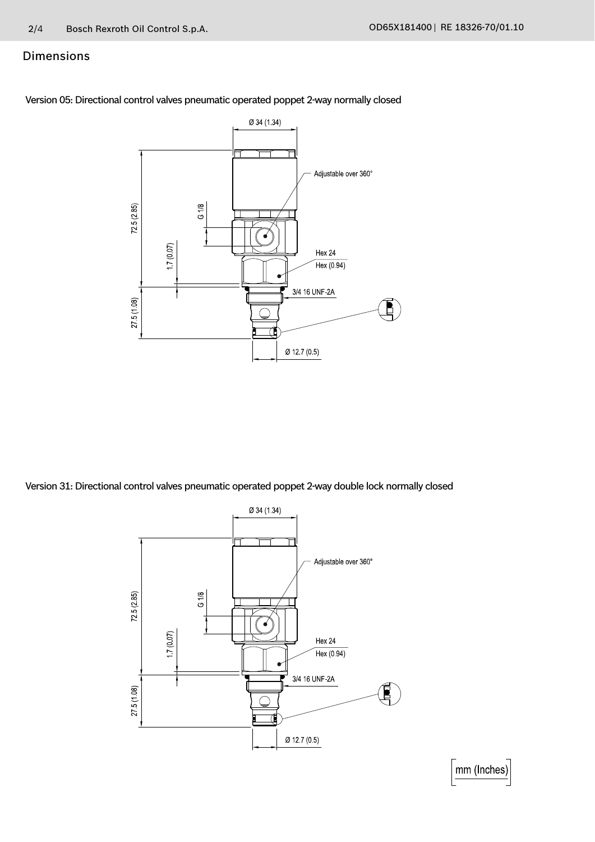#### Dimensions

Version 05: Directional control valves pneumatic operated poppet 2-way normally closed



Version 31: Directional control valves pneumatic operated poppet 2-way double lock normally closed



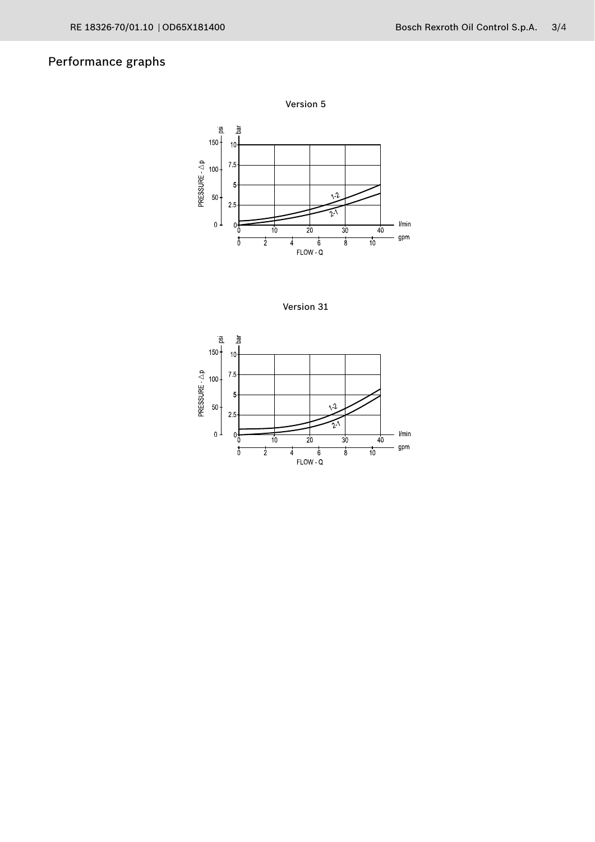## Performance graphs



Version 31